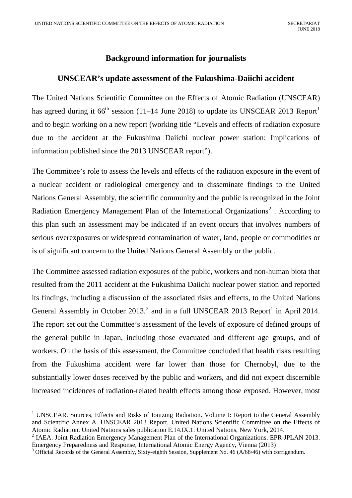## <span id="page-0-0"></span>**Background information for journalists**

## **UNSCEAR's update assessment of the Fukushima-Daiichi accident**

The United Nations Scientific Committee on the Effects of Atomic Radiation (UNSCEAR) has agreed during it  $66^{\text{th}}$  session (11–14 June 2018) to update its UNSCEAR [2013 Report](http://www.unscear.org/unscear/en/publications/2013_1.html)<sup>[1](#page-0-1)</sup> and to begin working on a new report (working title "Levels and effects of radiation exposure due to the accident at the Fukushima Daiichi nuclear power station: Implications of information published since the 2013 UNSCEAR report").

The Committee's role to assess the levels and effects of the radiation exposure in the event of a nuclear accident or radiological emergency and to disseminate findings to the United Nations General Assembly, the scientific community and the public is recognized in the Joint Radiation Emergency Management Plan of the International Organizations<sup>[2](#page-0-2)</sup>. According to this plan such an assessment may be indicated if an event occurs that involves numbers of serious overexposures or widespread contamination of water, land, people or commodities or is of significant concern to the United Nations General Assembly or the public.

The Committee assessed radiation exposures of the public, workers and non-human biota that resulted from the 2011 accident at the Fukushima Daiichi nuclear power station and reported its findings, including a discussion of the associated risks and effects, to the United Nations General Assembly in October  $2013<sup>3</sup>$  $2013<sup>3</sup>$  $2013<sup>3</sup>$  and in a full UNSCEAR 2013 Report<sup>1</sup> in April 2014. The report set out the Committee's assessment of the levels of exposure of defined groups of the general public in Japan, including those evacuated and different age groups, and of workers. On the basis of this assessment, the Committee concluded that health risks resulting from the Fukushima accident were far lower than those for Chernobyl, due to the substantially lower doses received by the public and workers, and did not expect discernible increased incidences of radiation-related health effects among those exposed. However, most

<span id="page-0-1"></span><sup>&</sup>lt;sup>1</sup> UNSCEAR. Sources, Effects and Risks of Ionizing Radiation. Volume I: Report to the General Assembly and Scientific Annex A. UNSCEAR 2013 Report. United Nations Scientific Committee on the Effects of Atomic Radiation. United Nations sales publication E.14.IX.1. United Nations, New York, 2014.<br><sup>2</sup> IAEA. Joint Radiation Emergency Management Plan of the International Organizations. EPR-JPLAN 2013.

<span id="page-0-2"></span>

<span id="page-0-3"></span>Emergency Preparedness and Response, International Atomic Energy Agency, Vienna (2013)<br><sup>3</sup> Official Records of the General Assembly, Sixty-eighth Session, Supplement No. 46 (A/68/46) with corrigendum.